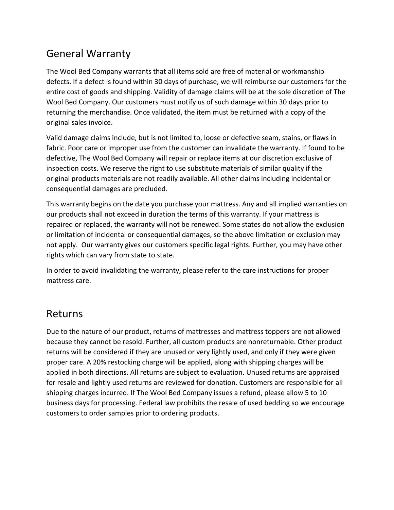## General Warranty

The Wool Bed Company warrants that all items sold are free of material or workmanship defects. If a defect is found within 30 days of purchase, we will reimburse our customers for the entire cost of goods and shipping. Validity of damage claims will be at the sole discretion of The Wool Bed Company. Our customers must notify us of such damage within 30 days prior to returning the merchandise. Once validated, the item must be returned with a copy of the original sales invoice.

Valid damage claims include, but is not limited to, loose or defective seam, stains, or flaws in fabric. Poor care or improper use from the customer can invalidate the warranty. If found to be defective, The Wool Bed Company will repair or replace items at our discretion exclusive of inspection costs. We reserve the right to use substitute materials of similar quality if the original products materials are not readily available. All other claims including incidental or consequential damages are precluded.

This warranty begins on the date you purchase your mattress. Any and all implied warranties on our products shall not exceed in duration the terms of this warranty. If your mattress is repaired or replaced, the warranty will not be renewed. Some states do not allow the exclusion or limitation of incidental or consequential damages, so the above limitation or exclusion may not apply. Our warranty gives our customers specific legal rights. Further, you may have other rights which can vary from state to state.

In order to avoid invalidating the warranty, please refer to the care instructions for proper mattress care.

## Returns

Due to the nature of our product, returns of mattresses and mattress toppers are not allowed because they cannot be resold. Further, all custom products are nonreturnable. Other product returns will be considered if they are unused or very lightly used, and only if they were given proper care. A 20% restocking charge will be applied, along with shipping charges will be applied in both directions. All returns are subject to evaluation. Unused returns are appraised for resale and lightly used returns are reviewed for donation. Customers are responsible for all shipping charges incurred. If The Wool Bed Company issues a refund, please allow 5 to 10 business days for processing. Federal law prohibits the resale of used bedding so we encourage customers to order samples prior to ordering products.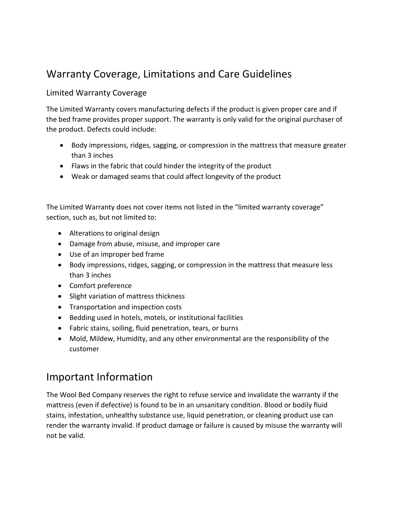# Warranty Coverage, Limitations and Care Guidelines

#### Limited Warranty Coverage

The Limited Warranty covers manufacturing defects if the product is given proper care and if the bed frame provides proper support. The warranty is only valid for the original purchaser of the product. Defects could include:

- Body impressions, ridges, sagging, or compression in the mattress that measure greater than 3 inches
- Flaws in the fabric that could hinder the integrity of the product
- Weak or damaged seams that could affect longevity of the product

The Limited Warranty does not cover items not listed in the "limited warranty coverage" section, such as, but not limited to:

- Alterations to original design
- Damage from abuse, misuse, and improper care
- Use of an improper bed frame
- Body impressions, ridges, sagging, or compression in the mattress that measure less than 3 inches
- Comfort preference
- Slight variation of mattress thickness
- Transportation and inspection costs
- Bedding used in hotels, motels, or institutional facilities
- Fabric stains, soiling, fluid penetration, tears, or burns
- Mold, Mildew, Humidity, and any other environmental are the responsibility of the customer

## Important Information

The Wool Bed Company reserves the right to refuse service and invalidate the warranty if the mattress (even if defective) is found to be in an unsanitary condition. Blood or bodily fluid stains, infestation, unhealthy substance use, liquid penetration, or cleaning product use can render the warranty invalid. If product damage or failure is caused by misuse the warranty will not be valid.